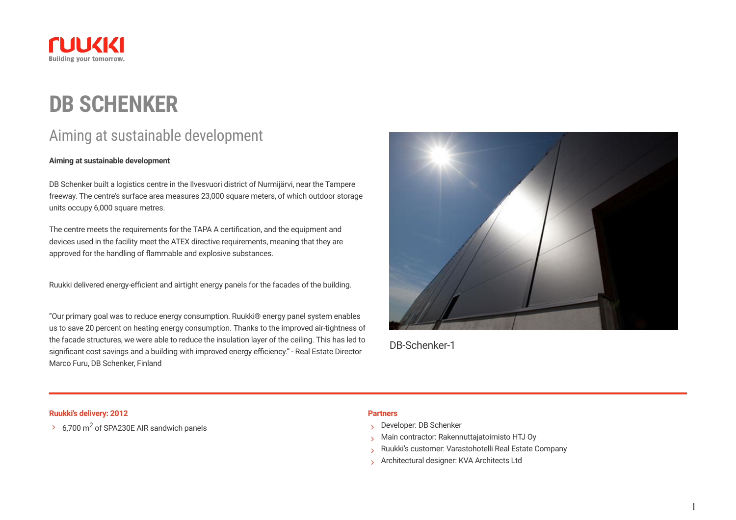

# **DB SCHENKER**

## Aiming at sustainable development

#### **Aiming at sustainable development**

DB Schenker built a logistics centre in the Ilvesvuori district of Nurmijärvi, near the Tampere freeway. The centre's surface area measures 23,000 square meters, of which outdoor storage units occupy 6,000 square metres.

The centre meets the requirements for the TAPA A certification, and the equipment and devices used in the facility meet the ATEX directive requirements, meaning that they are approved for the handling of flammable and explosive substances.

Ruukki delivered energy-efficient and airtight energy panels for the facades of the building.

"Our primary goal was to reduce energy consumption. Ruukki® energy panel system enables us to save 20 percent on heating energy consumption. Thanks to the improved air-tightness of the facade structures, we were able to reduce the insulation layer of the ceiling. This has led to significant cost savings and a building with improved energy efficiency." - Real Estate Director Marco Furu, DB Schenker, Finland



DB-Schenker-1

### **Ruukki's delivery: 2012 Partners**

 $\rightarrow$  6,700 m<sup>2</sup> of SPA230E AIR sandwich panels

- Developer: DB Schenker
- Main contractor: Rakennuttajatoimisto HTJ Oy
- Ruukki's customer: Varastohotelli Real Estate Company
- Architectural designer: KVA Architects Ltd